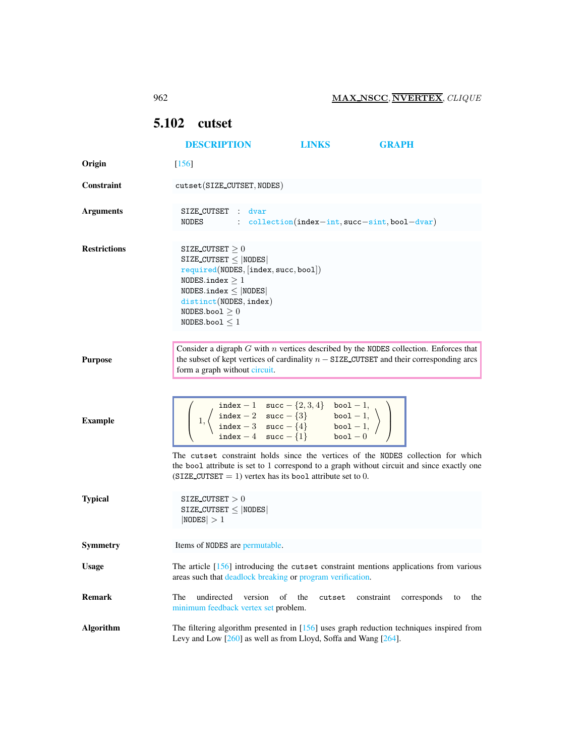## <span id="page-0-0"></span>5.102 cutset

|                     | <b>DESCRIPTION</b>                                                                                                                                                                                                                                                                                | <b>LINKS</b>                                    | <b>GRAPH</b>             |
|---------------------|---------------------------------------------------------------------------------------------------------------------------------------------------------------------------------------------------------------------------------------------------------------------------------------------------|-------------------------------------------------|--------------------------|
| Origin              | $[156]$                                                                                                                                                                                                                                                                                           |                                                 |                          |
| <b>Constraint</b>   | cutset(SIZE_CUTSET, NODES)                                                                                                                                                                                                                                                                        |                                                 |                          |
| <b>Arguments</b>    | SIZE_CUTSET : dvar<br>NODES                                                                                                                                                                                                                                                                       | $:$ collection(index-int, succ-sint, bool-dvar) |                          |
| <b>Restrictions</b> | SIZE CUTSET $\geq 0$<br>SIZE_CUTSET $\leq$  NODES <br>required(NODES, [index, succ, bool])<br>NODES.index $>1$<br>NODES.index $\leq$  NODES <br>distinct(NODES, index)<br>NODES.bool $\geq 0$<br>$NODES_{.}$ boo $1 < 1$                                                                          |                                                 |                          |
| <b>Purpose</b>      | Consider a digraph $G$ with $n$ vertices described by the NODES collection. Enforces that<br>the subset of kept vertices of cardinality $n - SIZE$ CUTSET and their corresponding arcs<br>form a graph without circuit.                                                                           |                                                 |                          |
| <b>Example</b>      | $\left[\begin{array}{c c} \text{index} -1 & \text{succ} - \{2,3,4\} & \text{bool} -1, \\ \text{index} -2 & \text{succ} - \{3\} & \text{bool} -1, \\ \text{index} -3 & \text{succ} - \{4\} & \text{bool} -1, \\ \text{index} -4 & \text{succ} - \{1\} & \text{bool} -0 \end{array}\right\}\right]$ |                                                 |                          |
| <b>Typical</b>      | The cutset constraint holds since the vertices of the NODES collection for which<br>the bool attribute is set to 1 correspond to a graph without circuit and since exactly one<br>$(SIZE_CUTSET = 1)$ vertex has its bool attribute set to 0.<br>SIZE_CUTSET $>0$                                 |                                                 |                          |
|                     | $SIZE_CUTSET \leq  NODES $<br> NODES  > 1                                                                                                                                                                                                                                                         |                                                 |                          |
| <b>Symmetry</b>     | Items of NODES are permutable.                                                                                                                                                                                                                                                                    |                                                 |                          |
| <b>Usage</b>        | The article [156] introducing the cutset constraint mentions applications from various<br>areas such that deadlock breaking or program verification.                                                                                                                                              |                                                 |                          |
| <b>Remark</b>       | undirected<br>version<br>of<br>The<br>minimum feedback vertex set problem.                                                                                                                                                                                                                        | the<br>constraint<br>cutset                     | corresponds<br>the<br>to |
| <b>Algorithm</b>    | The filtering algorithm presented in $[156]$ uses graph reduction techniques inspired from<br>Levy and Low $[260]$ as well as from Lloyd, Soffa and Wang $[264]$ .                                                                                                                                |                                                 |                          |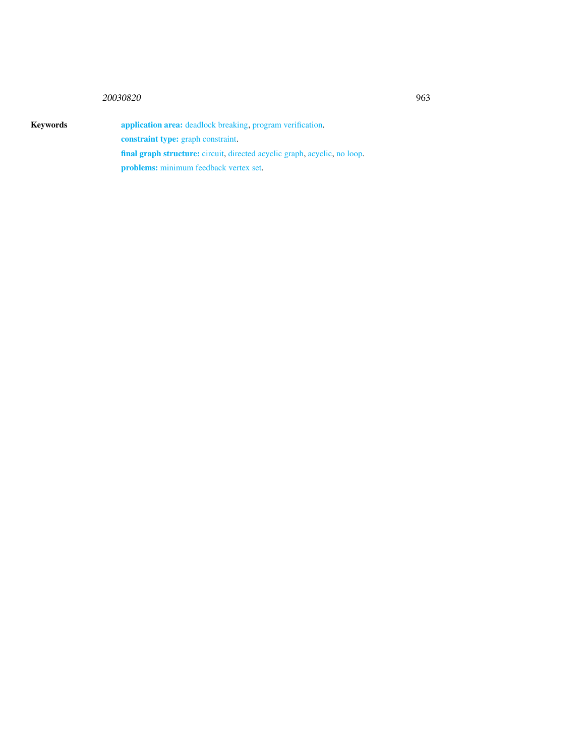## <sup>20030820</sup> 963

<span id="page-1-0"></span>

Keywords application area: deadlock breaking, program verification. constraint type: graph constraint. final graph structure: circuit, directed acyclic graph, acyclic, no loop. problems: minimum feedback vertex set.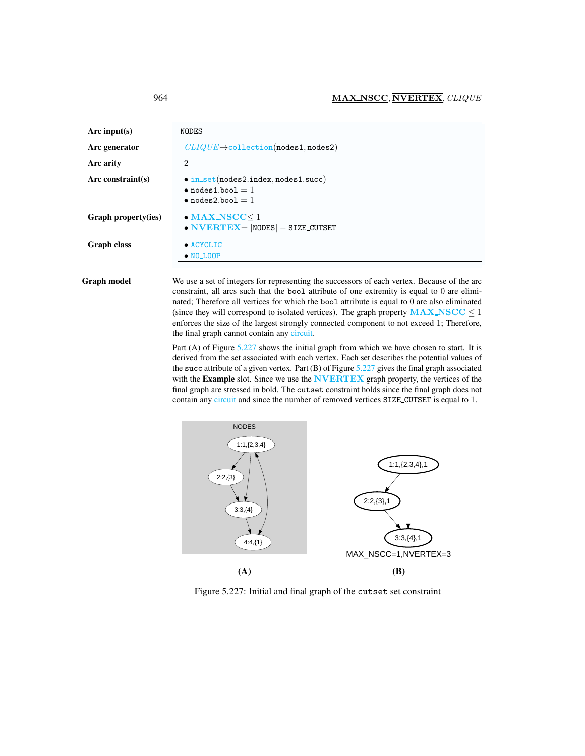| Arc input(s)        | NODES                                                                                                |
|---------------------|------------------------------------------------------------------------------------------------------|
| Arc generator       | $CLIQUE \rightarrow$ collection(nodes1,nodes2)                                                       |
| <b>Arc arity</b>    | $\overline{2}$                                                                                       |
| Arc constraint(s)   | $\bullet$ in_set(nodes2.index,nodes1.succ)<br>$\bullet$ nodes1.bool = 1<br>$\bullet$ nodes2.bool = 1 |
| Graph property(ies) | $\bullet$ MAX_NSCC $\leq$ 1<br>$\bullet$ NVERTEX=  NODES  - SIZE CUTSET                              |
| Graph class         | $\bullet$ ACYCLIC<br>$\bullet$ NO_LOOP                                                               |

Graph model We use a set of integers for representing the successors of each vertex. Because of the arc constraint, all arcs such that the bool attribute of one extremity is equal to 0 are eliminated; Therefore all vertices for which the bool attribute is equal to 0 are also eliminated (since they will correspond to isolated vertices). The graph property  $MAX\_NSCC \leq 1$ enforces the size of the largest strongly connected component to not exceed 1; Therefore, the final graph cannot contain any circuit.

> Part (A) of Figure [5.227](#page-2-1) shows the initial graph from which we have chosen to start. It is derived from the set associated with each vertex. Each set describes the potential values of the succ attribute of a given vertex. Part  $(B)$  of Figure [5.227](#page-2-1) gives the final graph associated with the Example slot. Since we use the NVERTEX graph property, the vertices of the final graph are stressed in bold. The cutset constraint holds since the final graph does not contain any circuit and since the number of removed vertices SIZE CUTSET is equal to 1.



<span id="page-2-1"></span>Figure 5.227: Initial and final graph of the cutset set constraint

<span id="page-2-0"></span>